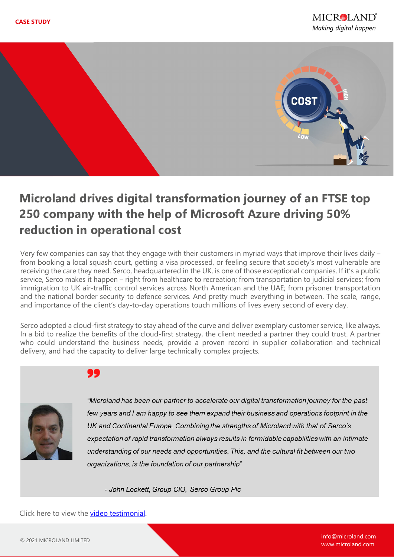

# **Microland drives digital transformation journey of an FTSE top 250 company with the help of Microsoft Azure driving 50% reduction in operational cost**

Very few companies can say that they engage with their customers in myriad ways that improve their lives daily – from booking a local squash court, getting a visa processed, or feeling secure that society's most vulnerable are receiving the care they need. Serco, headquartered in the UK, is one of those exceptional companies. If it's a public service, Serco makes it happen – right from healthcare to recreation; from transportation to judicial services; from immigration to UK air-traffic control services across North American and the UAE; from prisoner transportation and the national border security to defence services. And pretty much everything in between. The scale, range, and importance of the client's day-to-day operations touch millions of lives every second of every day.

Serco adopted a cloud-first strategy to stay ahead of the curve and deliver exemplary customer service, like always. In a bid to realize the benefits of the cloud-first strategy, the client needed a partner they could trust. A partner who could understand the business needs, provide a proven record in supplier collaboration and technical delivery, and had the capacity to deliver large technically complex projects.



"Microland has been our partner to accelerate our digital transformation journey for the past few years and I am happy to see them expand their business and operations footprint in the UK and Continental Europe. Combining the strengths of Microland with that of Serco's expectation of rapid transformation always results in formidable capabilities with an intimate understanding of our needs and opportunities. This, and the cultural fit between our two organizations, is the foundation of our partnership"

- John Lockett, Group CIO, Serco Group Plc

Click here to view the **video testimonial**.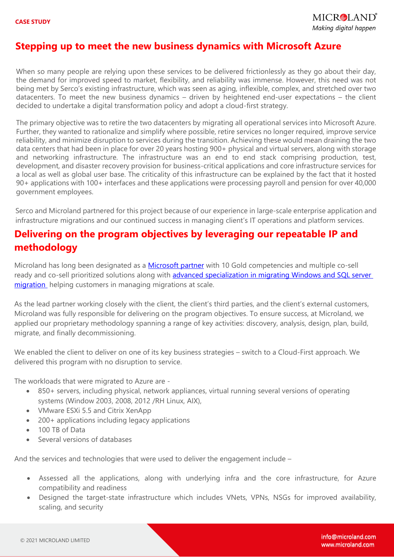#### **Stepping up to meet the new business dynamics with Microsoft Azure**

When so many people are relying upon these services to be delivered frictionlessly as they go about their day, the demand for improved speed to market, flexibility, and reliability was immense. However, this need was not being met by Serco's existing infrastructure, which was seen as aging, inflexible, complex, and stretched over two datacenters. To meet the new business dynamics – driven by heightened end-user expectations – the client decided to undertake a digital transformation policy and adopt a cloud-first strategy.

The primary objective was to retire the two datacenters by migrating all operational services into Microsoft Azure. Further, they wanted to rationalize and simplify where possible, retire services no longer required, improve service reliability, and minimize disruption to services during the transition. Achieving these would mean draining the two data centers that had been in place for over 20 years hosting 900+ physical and virtual servers, along with storage and networking infrastructure. The infrastructure was an end to end stack comprising production, test, development, and disaster recovery provision for business-critical applications and core infrastructure services for a local as well as global user base. The criticality of this infrastructure can be explained by the fact that it hosted 90+ applications with 100+ interfaces and these applications were processing payroll and pension for over 40,000 government employees.

Serco and Microland partnered for this project because of our experience in large-scale enterprise application and infrastructure migrations and our continued success in managing client's IT operations and platform services.

### **Delivering on the program objectives by leveraging our repeatable IP and methodology**

Microland has long been designated as a [Microsoft partner](https://www.microland.com/partner/microsoft) with 10 Gold competencies and multiple co-sell ready and co-sell prioritized solutions along with [advanced specialization in migrating Windows and SQL server](https://www.prnewswire.com/news-releases/microland-earns-the-coveted-windows-server-and-sql-server-migration-to-microsoft-azure-advanced-specialization-301209233.html)  [migration](https://www.prnewswire.com/news-releases/microland-earns-the-coveted-windows-server-and-sql-server-migration-to-microsoft-azure-advanced-specialization-301209233.html) helping customers in managing migrations at scale.

 applied our proprietary methodology spanning a range of key activities: discovery, analysis, design, plan, build, migrate, and finally decommissioning. As the lead partner working closely with the client, the client's third parties, and the client's external customers, Microland was fully responsible for delivering on the program objectives. To ensure success, at Microland, we

We enabled the client to deliver on one of its key business strategies – switch to a Cloud-First approach. We delivered this program with no disruption to service.

The workloads that were migrated to Azure are -

- 850+ servers, including physical, network appliances, virtual running several versions of operating systems (Window 2003, 2008, 2012 /RH Linux, AIX),
- VMware ESXi 5.5 and Citrix XenApp
- 200+ applications including legacy applications
- 100 TB of Data
- Several versions of databases

And the services and technologies that were used to deliver the engagement include –

- Assessed all the applications, along with underlying infra and the core infrastructure, for Azure compatibility and readiness
- Designed the target-state infrastructure which includes VNets, VPNs, NSGs for improved availability, scaling, and security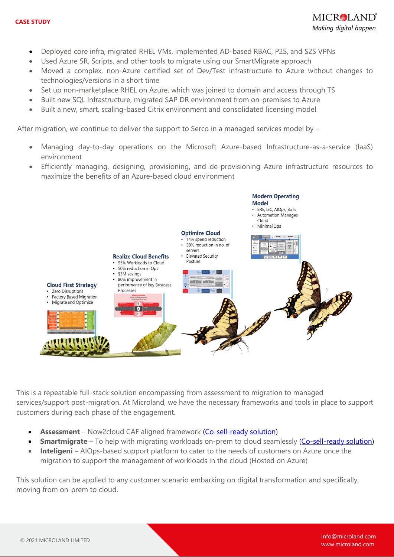- Deployed core infra, migrated RHEL VMs, implemented AD-based RBAC, P2S, and S2S VPNs
- Used Azure SR, Scripts, and other tools to migrate using our SmartMigrate approach
- Moved a complex, non-Azure certified set of Dev/Test infrastructure to Azure without changes to technologies/versions in a short time
- Set up non-marketplace RHEL on Azure, which was joined to domain and access through TS
- Built new SQL Infrastructure, migrated SAP DR environment from on-premises to Azure
- Built a new, smart, scaling-based Citrix environment and consolidated licensing model

After migration, we continue to deliver the support to Serco in a managed services model by -

- Managing day-to-day operations on the Microsoft Azure-based Infrastructure-as-a-service (IaaS) environment
- Efficiently managing, designing, provisioning, and de-provisioning Azure infrastructure resources to maximize the benefits of an Azure-based cloud environment



This is a repeatable full-stack solution encompassing from assessment to migration to managed services/support post-migration. At Microland, we have the necessary frameworks and tools in place to support customers during each phase of the engagement.

- **Assessment**  Now2cloud CAF aligned framework [\(Co-sell-ready solution\)](https://azuremarketplace.microsoft.com/en-us/marketplace/consulting-services/ml1589286092083.now2cloud_caf_cs?ocid=gtmrewards_whatsnewblog_now2cloud_caf_cs_vol126)
- **Smartmigrate** To help with migrating workloads on-prem to cloud seamlessly [\(Co-sell-ready solution\)](https://msgtm.azurewebsites.net/en-US/Solutions/Solution/0b0999e7-e272-e711-80f1-3863bb3c06a0/2b4bd7f5-c3d0-e711-80fb-3863bb35cf80)
- **Inteligeni** AIOps-based support platform to cater to the needs of customers on Azure once the migration to support the management of workloads in the cloud (Hosted on Azure)

This solution can be applied to any customer scenario embarking on digital transformation and specifically, moving from on-prem to cloud.